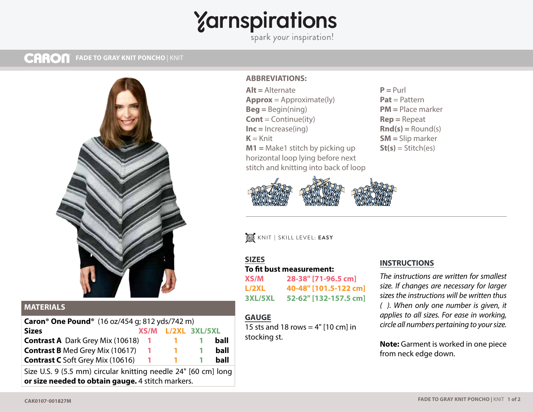# Yarnspirations

#### **CARON MESH TOP** | KNIT **FADE TO GRAY KNIT PONCHO** | KNIT



## **MATERIALS**

| Caron <sup>®</sup> One Pound <sup>®</sup> (16 oz/454 g; 812 yds/742 m) |              |                    |  |      |
|------------------------------------------------------------------------|--------------|--------------------|--|------|
| <b>Sizes</b>                                                           |              | XS/M L/2XL 3XL/5XL |  |      |
| <b>Contrast A</b> Dark Grey Mix (10618)                                | $\mathbf{L}$ |                    |  | ball |
| <b>Contrast B</b> Med Grey Mix (10617)                                 |              | <b>TELESCO</b>     |  | ball |
| <b>Contrast C</b> Soft Grey Mix (10616)                                | $\mathbf{L}$ |                    |  | ball |
|                                                                        |              |                    |  |      |

Size U.S. 9 (5.5 mm) circular knitting needle 24" [60 cm] long **or size needed to obtain gauge.** 4 stitch markers.

#### **ABBREVIATIONS:**

**Alt =** Alternate **Approx** = Approximate(ly) **Beg =** Begin(ning) **Cont** = Continue(ity) **Inc =** Increase(ing)  $K =$ Knit **M1 =** Make1 stitch by picking up horizontal loop lying before next stitch and knitting into back of loop

 $P = Purl$ **Pat** = Pattern **PM =** Place marker **Rep =** Repeat **Rnd(s) =** Round(s) **SM =** Slip marker **St(s)** = Stitch(es)



KNIT **|** SKILL LEVEL: **EASY**

#### **SIZES**

#### **To fit bust measurement:**

**XS/M 28-38" [71-96.5 cm] L/2XL 40-48" [101.5-122 cm] 3XL/5XL 52-62" [132-157.5 cm]**

### **GAUGE**

15 sts and 18 rows  $= 4"$  [10 cm] in stocking st.

#### **INSTRUCTIONS**

*The instructions are written for smallest size. If changes are necessary for larger sizes the instructions will be written thus ( ). When only one number is given, it applies to all sizes. For ease in working, circle all numbers pertaining to your size.*

**Note:** Garment is worked in one piece from neck edge down.